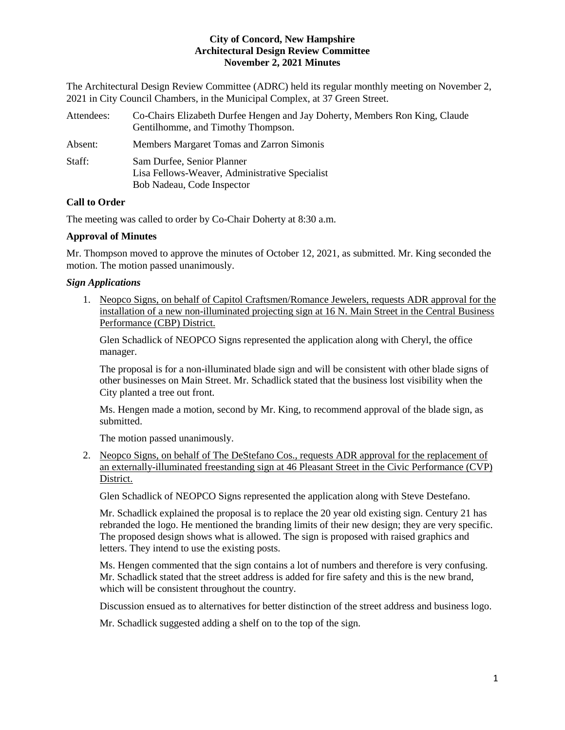The Architectural Design Review Committee (ADRC) held its regular monthly meeting on November 2, 2021 in City Council Chambers, in the Municipal Complex, at 37 Green Street.

| Attendees: | Co-Chairs Elizabeth Durfee Hengen and Jay Doherty, Members Ron King, Claude<br>Gentilhomme, and Timothy Thompson. |
|------------|-------------------------------------------------------------------------------------------------------------------|
| Absent:    | Members Margaret Tomas and Zarron Simonis                                                                         |
| Staff:     | Sam Durfee, Senior Planner<br>Lisa Fellows-Weaver, Administrative Specialist<br>Bob Nadeau, Code Inspector        |

# **Call to Order**

The meeting was called to order by Co-Chair Doherty at 8:30 a.m.

# **Approval of Minutes**

Mr. Thompson moved to approve the minutes of October 12, 2021, as submitted. Mr. King seconded the motion. The motion passed unanimously.

# *Sign Applications*

1. Neopco Signs, on behalf of Capitol Craftsmen/Romance Jewelers, requests ADR approval for the installation of a new non-illuminated projecting sign at 16 N. Main Street in the Central Business Performance (CBP) District.

Glen Schadlick of NEOPCO Signs represented the application along with Cheryl, the office manager.

The proposal is for a non-illuminated blade sign and will be consistent with other blade signs of other businesses on Main Street. Mr. Schadlick stated that the business lost visibility when the City planted a tree out front.

Ms. Hengen made a motion, second by Mr. King, to recommend approval of the blade sign, as submitted.

The motion passed unanimously.

2. Neopco Signs, on behalf of The DeStefano Cos., requests ADR approval for the replacement of an externally-illuminated freestanding sign at 46 Pleasant Street in the Civic Performance (CVP) District.

Glen Schadlick of NEOPCO Signs represented the application along with Steve Destefano.

Mr. Schadlick explained the proposal is to replace the 20 year old existing sign. Century 21 has rebranded the logo. He mentioned the branding limits of their new design; they are very specific. The proposed design shows what is allowed. The sign is proposed with raised graphics and letters. They intend to use the existing posts.

Ms. Hengen commented that the sign contains a lot of numbers and therefore is very confusing. Mr. Schadlick stated that the street address is added for fire safety and this is the new brand, which will be consistent throughout the country.

Discussion ensued as to alternatives for better distinction of the street address and business logo.

Mr. Schadlick suggested adding a shelf on to the top of the sign.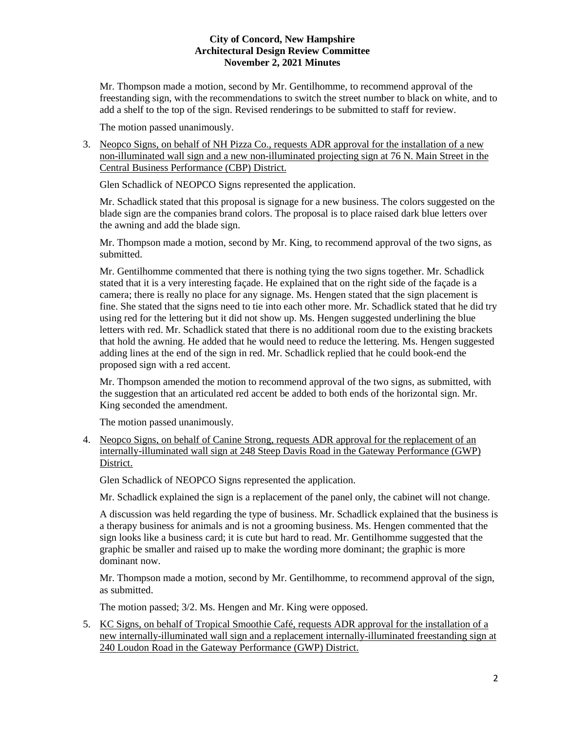Mr. Thompson made a motion, second by Mr. Gentilhomme, to recommend approval of the freestanding sign, with the recommendations to switch the street number to black on white, and to add a shelf to the top of the sign. Revised renderings to be submitted to staff for review.

The motion passed unanimously.

3. Neopco Signs, on behalf of NH Pizza Co., requests ADR approval for the installation of a new non-illuminated wall sign and a new non-illuminated projecting sign at 76 N. Main Street in the Central Business Performance (CBP) District.

Glen Schadlick of NEOPCO Signs represented the application.

Mr. Schadlick stated that this proposal is signage for a new business. The colors suggested on the blade sign are the companies brand colors. The proposal is to place raised dark blue letters over the awning and add the blade sign.

Mr. Thompson made a motion, second by Mr. King, to recommend approval of the two signs, as submitted.

Mr. Gentilhomme commented that there is nothing tying the two signs together. Mr. Schadlick stated that it is a very interesting façade. He explained that on the right side of the façade is a camera; there is really no place for any signage. Ms. Hengen stated that the sign placement is fine. She stated that the signs need to tie into each other more. Mr. Schadlick stated that he did try using red for the lettering but it did not show up. Ms. Hengen suggested underlining the blue letters with red. Mr. Schadlick stated that there is no additional room due to the existing brackets that hold the awning. He added that he would need to reduce the lettering. Ms. Hengen suggested adding lines at the end of the sign in red. Mr. Schadlick replied that he could book-end the proposed sign with a red accent.

Mr. Thompson amended the motion to recommend approval of the two signs, as submitted, with the suggestion that an articulated red accent be added to both ends of the horizontal sign. Mr. King seconded the amendment.

The motion passed unanimously.

4. Neopco Signs, on behalf of Canine Strong, requests ADR approval for the replacement of an internally-illuminated wall sign at 248 Steep Davis Road in the Gateway Performance (GWP) District.

Glen Schadlick of NEOPCO Signs represented the application.

Mr. Schadlick explained the sign is a replacement of the panel only, the cabinet will not change.

A discussion was held regarding the type of business. Mr. Schadlick explained that the business is a therapy business for animals and is not a grooming business. Ms. Hengen commented that the sign looks like a business card; it is cute but hard to read. Mr. Gentilhomme suggested that the graphic be smaller and raised up to make the wording more dominant; the graphic is more dominant now.

Mr. Thompson made a motion, second by Mr. Gentilhomme, to recommend approval of the sign, as submitted.

The motion passed; 3/2. Ms. Hengen and Mr. King were opposed.

5. KC Signs, on behalf of Tropical Smoothie Café, requests ADR approval for the installation of a new internally-illuminated wall sign and a replacement internally-illuminated freestanding sign at 240 Loudon Road in the Gateway Performance (GWP) District.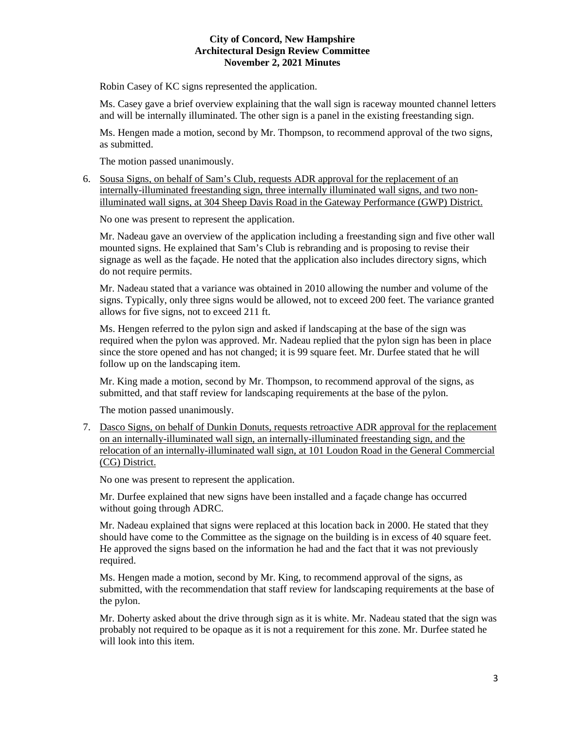Robin Casey of KC signs represented the application.

Ms. Casey gave a brief overview explaining that the wall sign is raceway mounted channel letters and will be internally illuminated. The other sign is a panel in the existing freestanding sign.

Ms. Hengen made a motion, second by Mr. Thompson, to recommend approval of the two signs, as submitted.

The motion passed unanimously.

6. Sousa Signs, on behalf of Sam's Club, requests ADR approval for the replacement of an internally-illuminated freestanding sign, three internally illuminated wall signs, and two nonilluminated wall signs, at 304 Sheep Davis Road in the Gateway Performance (GWP) District.

No one was present to represent the application.

Mr. Nadeau gave an overview of the application including a freestanding sign and five other wall mounted signs. He explained that Sam's Club is rebranding and is proposing to revise their signage as well as the façade. He noted that the application also includes directory signs, which do not require permits.

Mr. Nadeau stated that a variance was obtained in 2010 allowing the number and volume of the signs. Typically, only three signs would be allowed, not to exceed 200 feet. The variance granted allows for five signs, not to exceed 211 ft.

Ms. Hengen referred to the pylon sign and asked if landscaping at the base of the sign was required when the pylon was approved. Mr. Nadeau replied that the pylon sign has been in place since the store opened and has not changed; it is 99 square feet. Mr. Durfee stated that he will follow up on the landscaping item.

Mr. King made a motion, second by Mr. Thompson, to recommend approval of the signs, as submitted, and that staff review for landscaping requirements at the base of the pylon.

The motion passed unanimously.

7. Dasco Signs, on behalf of Dunkin Donuts, requests retroactive ADR approval for the replacement on an internally-illuminated wall sign, an internally-illuminated freestanding sign, and the relocation of an internally-illuminated wall sign, at 101 Loudon Road in the General Commercial (CG) District.

No one was present to represent the application.

Mr. Durfee explained that new signs have been installed and a façade change has occurred without going through ADRC.

Mr. Nadeau explained that signs were replaced at this location back in 2000. He stated that they should have come to the Committee as the signage on the building is in excess of 40 square feet. He approved the signs based on the information he had and the fact that it was not previously required.

Ms. Hengen made a motion, second by Mr. King, to recommend approval of the signs, as submitted, with the recommendation that staff review for landscaping requirements at the base of the pylon.

Mr. Doherty asked about the drive through sign as it is white. Mr. Nadeau stated that the sign was probably not required to be opaque as it is not a requirement for this zone. Mr. Durfee stated he will look into this item.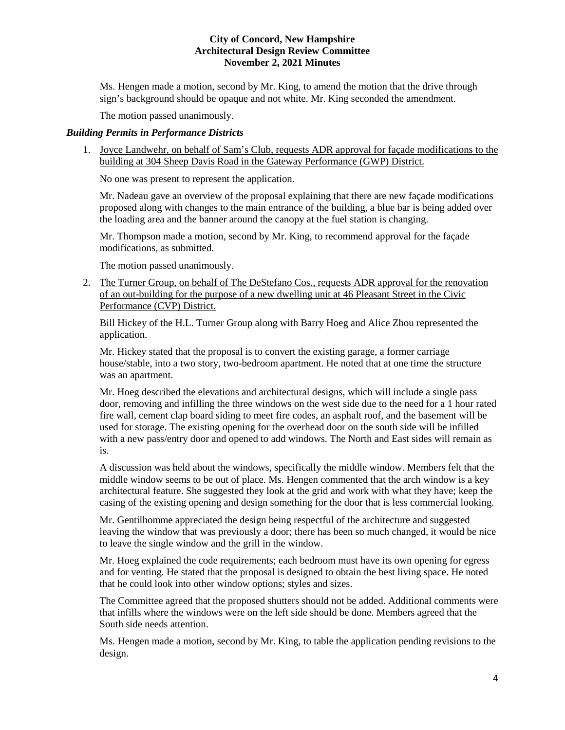Ms. Hengen made a motion, second by Mr. King, to amend the motion that the drive through sign's background should be opaque and not white. Mr. King seconded the amendment.

The motion passed unanimously.

## *Building Permits in Performance Districts*

1. Joyce Landwehr, on behalf of Sam's Club, requests ADR approval for façade modifications to the building at 304 Sheep Davis Road in the Gateway Performance (GWP) District.

No one was present to represent the application.

Mr. Nadeau gave an overview of the proposal explaining that there are new façade modifications proposed along with changes to the main entrance of the building, a blue bar is being added over the loading area and the banner around the canopy at the fuel station is changing.

Mr. Thompson made a motion, second by Mr. King, to recommend approval for the façade modifications, as submitted.

The motion passed unanimously.

2. The Turner Group, on behalf of The DeStefano Cos., requests ADR approval for the renovation of an out-building for the purpose of a new dwelling unit at 46 Pleasant Street in the Civic Performance (CVP) District.

Bill Hickey of the H.L. Turner Group along with Barry Hoeg and Alice Zhou represented the application.

Mr. Hickey stated that the proposal is to convert the existing garage, a former carriage house/stable, into a two story, two-bedroom apartment. He noted that at one time the structure was an apartment.

Mr. Hoeg described the elevations and architectural designs, which will include a single pass door, removing and infilling the three windows on the west side due to the need for a 1 hour rated fire wall, cement clap board siding to meet fire codes, an asphalt roof, and the basement will be used for storage. The existing opening for the overhead door on the south side will be infilled with a new pass/entry door and opened to add windows. The North and East sides will remain as is.

A discussion was held about the windows, specifically the middle window. Members felt that the middle window seems to be out of place. Ms. Hengen commented that the arch window is a key architectural feature. She suggested they look at the grid and work with what they have; keep the casing of the existing opening and design something for the door that is less commercial looking.

Mr. Gentilhomme appreciated the design being respectful of the architecture and suggested leaving the window that was previously a door; there has been so much changed, it would be nice to leave the single window and the grill in the window.

Mr. Hoeg explained the code requirements; each bedroom must have its own opening for egress and for venting. He stated that the proposal is designed to obtain the best living space. He noted that he could look into other window options; styles and sizes.

The Committee agreed that the proposed shutters should not be added. Additional comments were that infills where the windows were on the left side should be done. Members agreed that the South side needs attention.

Ms. Hengen made a motion, second by Mr. King, to table the application pending revisions to the design.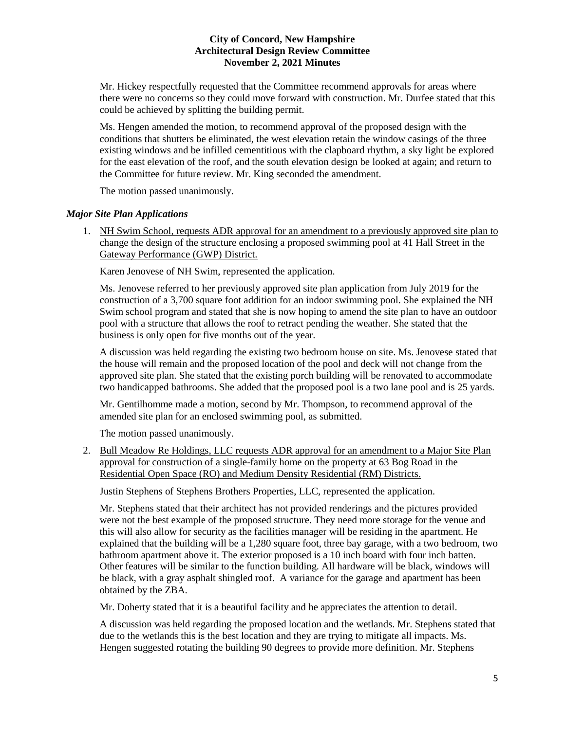Mr. Hickey respectfully requested that the Committee recommend approvals for areas where there were no concerns so they could move forward with construction. Mr. Durfee stated that this could be achieved by splitting the building permit.

Ms. Hengen amended the motion, to recommend approval of the proposed design with the conditions that shutters be eliminated, the west elevation retain the window casings of the three existing windows and be infilled cementitious with the clapboard rhythm, a sky light be explored for the east elevation of the roof, and the south elevation design be looked at again; and return to the Committee for future review. Mr. King seconded the amendment.

The motion passed unanimously.

## *Major Site Plan Applications*

1. NH Swim School, requests ADR approval for an amendment to a previously approved site plan to change the design of the structure enclosing a proposed swimming pool at 41 Hall Street in the Gateway Performance (GWP) District.

Karen Jenovese of NH Swim, represented the application.

Ms. Jenovese referred to her previously approved site plan application from July 2019 for the construction of a 3,700 square foot addition for an indoor swimming pool. She explained the NH Swim school program and stated that she is now hoping to amend the site plan to have an outdoor pool with a structure that allows the roof to retract pending the weather. She stated that the business is only open for five months out of the year.

A discussion was held regarding the existing two bedroom house on site. Ms. Jenovese stated that the house will remain and the proposed location of the pool and deck will not change from the approved site plan. She stated that the existing porch building will be renovated to accommodate two handicapped bathrooms. She added that the proposed pool is a two lane pool and is 25 yards.

Mr. Gentilhomme made a motion, second by Mr. Thompson, to recommend approval of the amended site plan for an enclosed swimming pool, as submitted.

The motion passed unanimously.

2. Bull Meadow Re Holdings, LLC requests ADR approval for an amendment to a Major Site Plan approval for construction of a single-family home on the property at 63 Bog Road in the Residential Open Space (RO) and Medium Density Residential (RM) Districts.

Justin Stephens of Stephens Brothers Properties, LLC, represented the application.

Mr. Stephens stated that their architect has not provided renderings and the pictures provided were not the best example of the proposed structure. They need more storage for the venue and this will also allow for security as the facilities manager will be residing in the apartment. He explained that the building will be a 1,280 square foot, three bay garage, with a two bedroom, two bathroom apartment above it. The exterior proposed is a 10 inch board with four inch batten. Other features will be similar to the function building. All hardware will be black, windows will be black, with a gray asphalt shingled roof. A variance for the garage and apartment has been obtained by the ZBA.

Mr. Doherty stated that it is a beautiful facility and he appreciates the attention to detail.

A discussion was held regarding the proposed location and the wetlands. Mr. Stephens stated that due to the wetlands this is the best location and they are trying to mitigate all impacts. Ms. Hengen suggested rotating the building 90 degrees to provide more definition. Mr. Stephens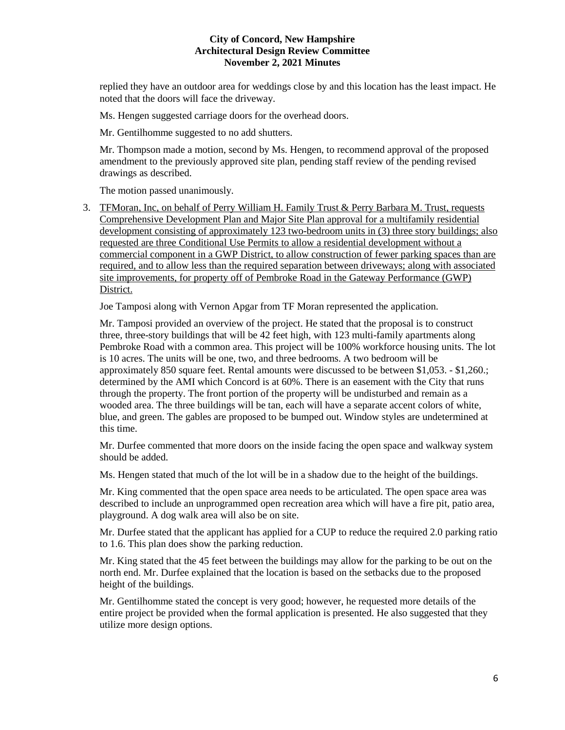replied they have an outdoor area for weddings close by and this location has the least impact. He noted that the doors will face the driveway.

Ms. Hengen suggested carriage doors for the overhead doors.

Mr. Gentilhomme suggested to no add shutters.

Mr. Thompson made a motion, second by Ms. Hengen, to recommend approval of the proposed amendment to the previously approved site plan, pending staff review of the pending revised drawings as described.

The motion passed unanimously.

3. TFMoran, Inc, on behalf of Perry William H. Family Trust & Perry Barbara M. Trust, requests Comprehensive Development Plan and Major Site Plan approval for a multifamily residential development consisting of approximately 123 two-bedroom units in (3) three story buildings; also requested are three Conditional Use Permits to allow a residential development without a commercial component in a GWP District, to allow construction of fewer parking spaces than are required, and to allow less than the required separation between driveways; along with associated site improvements, for property off of Pembroke Road in the Gateway Performance (GWP) District.

Joe Tamposi along with Vernon Apgar from TF Moran represented the application.

Mr. Tamposi provided an overview of the project. He stated that the proposal is to construct three, three-story buildings that will be 42 feet high, with 123 multi-family apartments along Pembroke Road with a common area. This project will be 100% workforce housing units. The lot is 10 acres. The units will be one, two, and three bedrooms. A two bedroom will be approximately 850 square feet. Rental amounts were discussed to be between \$1,053. - \$1,260.; determined by the AMI which Concord is at 60%. There is an easement with the City that runs through the property. The front portion of the property will be undisturbed and remain as a wooded area. The three buildings will be tan, each will have a separate accent colors of white, blue, and green. The gables are proposed to be bumped out. Window styles are undetermined at this time.

Mr. Durfee commented that more doors on the inside facing the open space and walkway system should be added.

Ms. Hengen stated that much of the lot will be in a shadow due to the height of the buildings.

Mr. King commented that the open space area needs to be articulated. The open space area was described to include an unprogrammed open recreation area which will have a fire pit, patio area, playground. A dog walk area will also be on site.

Mr. Durfee stated that the applicant has applied for a CUP to reduce the required 2.0 parking ratio to 1.6. This plan does show the parking reduction.

Mr. King stated that the 45 feet between the buildings may allow for the parking to be out on the north end. Mr. Durfee explained that the location is based on the setbacks due to the proposed height of the buildings.

Mr. Gentilhomme stated the concept is very good; however, he requested more details of the entire project be provided when the formal application is presented. He also suggested that they utilize more design options.